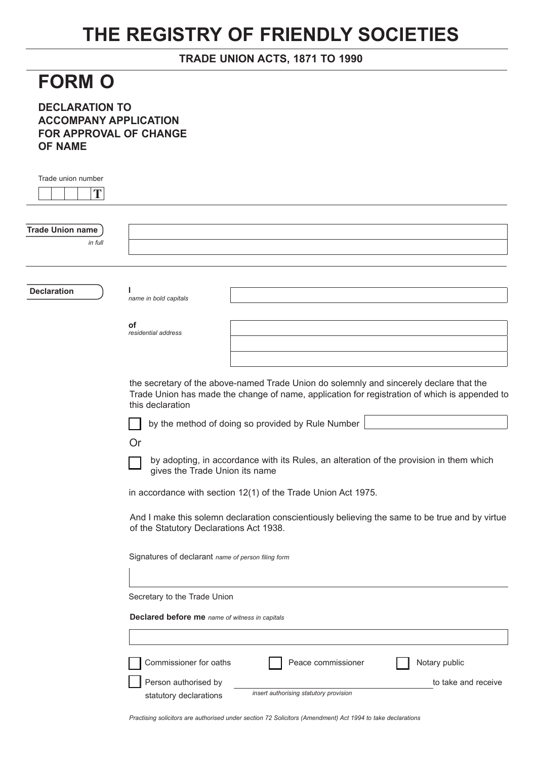## **THE REGISTRY OF FRIENDLY SOCIETIES**

## **TRADE UNION ACTS, 1871 TO 1990**

## **FORM O**

**DECLARATION TO ACCOMPANY APPLICATION FOR APPROVAL OF CHANGE OF NAME**

| Trade union number<br>T            |                                                                                                                                                                                                              |  |
|------------------------------------|--------------------------------------------------------------------------------------------------------------------------------------------------------------------------------------------------------------|--|
| <b>Trade Union name</b><br>in full |                                                                                                                                                                                                              |  |
| <b>Declaration</b>                 | name in bold capitals                                                                                                                                                                                        |  |
|                                    | of<br>residential address                                                                                                                                                                                    |  |
|                                    | the secretary of the above-named Trade Union do solemnly and sincerely declare that the<br>Trade Union has made the change of name, application for registration of which is appended to<br>this declaration |  |
|                                    | by the method of doing so provided by Rule Number<br>Or                                                                                                                                                      |  |
|                                    | by adopting, in accordance with its Rules, an alteration of the provision in them which<br>gives the Trade Union its name<br>in accordance with section 12(1) of the Trade Union Act 1975.                   |  |
|                                    | And I make this solemn declaration conscientiously believing the same to be true and by virtue<br>of the Statutory Declarations Act 1938.                                                                    |  |
|                                    | Signatures of declarant name of person filing form                                                                                                                                                           |  |
|                                    | Secretary to the Trade Union                                                                                                                                                                                 |  |
|                                    | Declared before me name of witness in capitals                                                                                                                                                               |  |
|                                    |                                                                                                                                                                                                              |  |
|                                    | Commissioner for oaths<br>Notary public<br>Peace commissioner                                                                                                                                                |  |
|                                    | Person authorised by<br>to take and receive<br>insert authorising statutory provision<br>statutory declarations                                                                                              |  |

*Practising solicitors are authorised under section 72 Solicitors (Amendment) Act 1994 to take declarations*